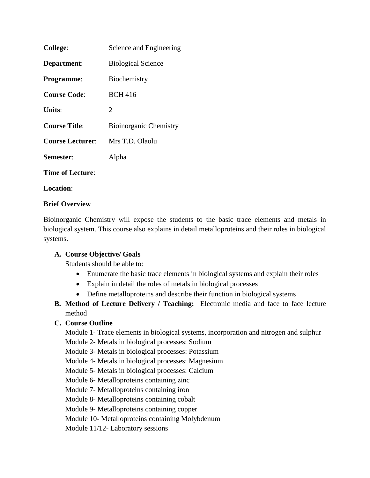| <b>College:</b>         | Science and Engineering       |
|-------------------------|-------------------------------|
| Department:             | <b>Biological Science</b>     |
| <b>Programme:</b>       | Biochemistry                  |
| <b>Course Code:</b>     | <b>BCH 416</b>                |
| Units:                  | 2                             |
| <b>Course Title:</b>    | <b>Bioinorganic Chemistry</b> |
| <b>Course Lecturer:</b> | Mrs T.D. Olaolu               |
| Semester:               | Alpha                         |
| <b>Time of Lecture:</b> |                               |
|                         |                               |

**Location**:

#### **Brief Overview**

Bioinorganic Chemistry will expose the students to the basic trace elements and metals in biological system. This course also explains in detail metalloproteins and their roles in biological systems.

### **A. Course Objective/ Goals**

Students should be able to:

- Enumerate the basic trace elements in biological systems and explain their roles
- Explain in detail the roles of metals in biological processes
- Define metalloproteins and describe their function in biological systems
- **B. Method of Lecture Delivery / Teaching:** Electronic media and face to face lecture method

### **C. Course Outline**

Module 1- Trace elements in biological systems, incorporation and nitrogen and sulphur

Module 2- Metals in biological processes: Sodium

Module 3- Metals in biological processes: Potassium

Module 4- Metals in biological processes: Magnesium

Module 5- Metals in biological processes: Calcium

Module 6- Metalloproteins containing zinc

Module 7- Metalloproteins containing iron

Module 8- Metalloproteins containing cobalt

Module 9- Metalloproteins containing copper

Module 10- Metalloproteins containing Molybdenum

Module 11/12- Laboratory sessions